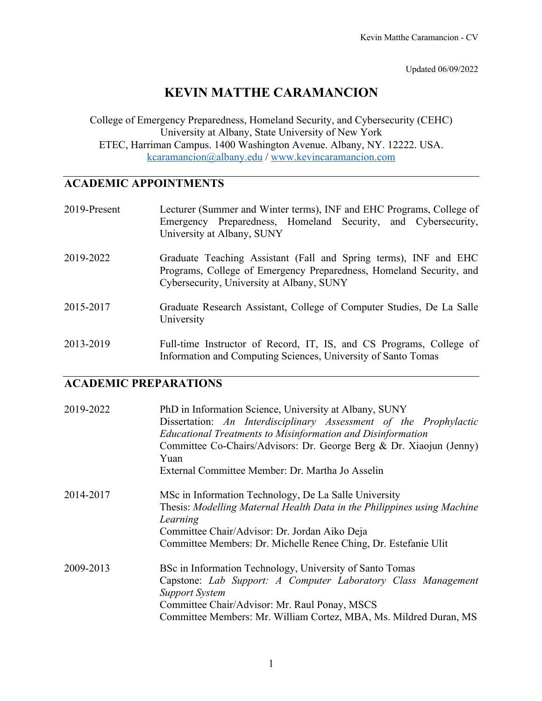Updated 06/09/2022

# **KEVIN MATTHE CARAMANCION**

College of Emergency Preparedness, Homeland Security, and Cybersecurity (CEHC) University at Albany, State University of New York ETEC, Harriman Campus. 1400 Washington Avenue. Albany, NY. 12222. USA. kcaramancion@albany.edu / www.kevincaramancion.com

# **ACADEMIC APPOINTMENTS**

| 2019-Present | Lecturer (Summer and Winter terms), INF and EHC Programs, College of<br>Emergency Preparedness, Homeland Security, and Cybersecurity,<br>University at Albany, SUNY                  |
|--------------|--------------------------------------------------------------------------------------------------------------------------------------------------------------------------------------|
| 2019-2022    | Graduate Teaching Assistant (Fall and Spring terms), INF and EHC<br>Programs, College of Emergency Preparedness, Homeland Security, and<br>Cybersecurity, University at Albany, SUNY |
| 2015-2017    | Graduate Research Assistant, College of Computer Studies, De La Salle<br>University                                                                                                  |
| 2013-2019    | Full-time Instructor of Record, IT, IS, and CS Programs, College of<br>Information and Computing Sciences, University of Santo Tomas                                                 |

### **ACADEMIC PREPARATIONS**

| 2019-2022 | PhD in Information Science, University at Albany, SUNY<br>Dissertation: An Interdisciplinary Assessment of the Prophylactic<br><b>Educational Treatments to Misinformation and Disinformation</b><br>Committee Co-Chairs/Advisors: Dr. George Berg & Dr. Xiaojun (Jenny)<br>Yuan<br>External Committee Member: Dr. Martha Jo Asselin |
|-----------|--------------------------------------------------------------------------------------------------------------------------------------------------------------------------------------------------------------------------------------------------------------------------------------------------------------------------------------|
| 2014-2017 | MSc in Information Technology, De La Salle University<br>Thesis: Modelling Maternal Health Data in the Philippines using Machine<br>Learning<br>Committee Chair/Advisor: Dr. Jordan Aiko Deja<br>Committee Members: Dr. Michelle Renee Ching, Dr. Estefanie Ulit                                                                     |
| 2009-2013 | BSc in Information Technology, University of Santo Tomas<br>Capstone: Lab Support: A Computer Laboratory Class Management<br><b>Support System</b><br>Committee Chair/Advisor: Mr. Raul Ponay, MSCS<br>Committee Members: Mr. William Cortez, MBA, Ms. Mildred Duran, MS                                                             |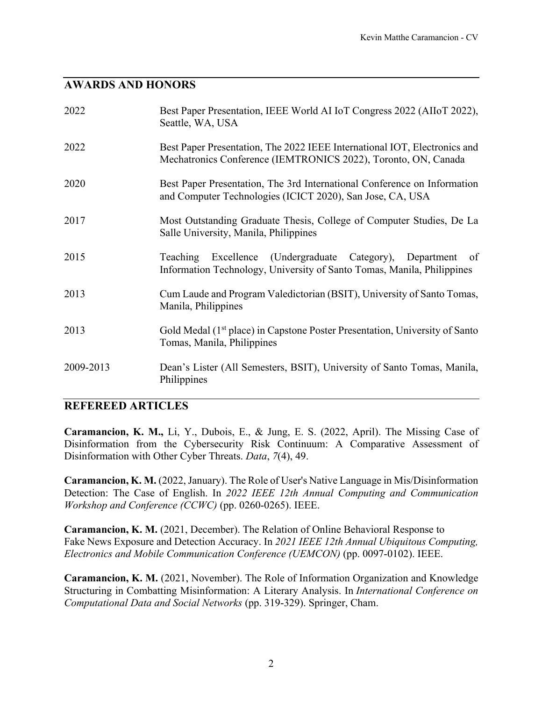#### **AWARDS AND HONORS**

| 2022      | Best Paper Presentation, IEEE World AI IoT Congress 2022 (AIIoT 2022),<br>Seattle, WA, USA                                                         |
|-----------|----------------------------------------------------------------------------------------------------------------------------------------------------|
| 2022      | Best Paper Presentation, The 2022 IEEE International IOT, Electronics and<br>Mechatronics Conference (IEMTRONICS 2022), Toronto, ON, Canada        |
| 2020      | Best Paper Presentation, The 3rd International Conference on Information<br>and Computer Technologies (ICICT 2020), San Jose, CA, USA              |
| 2017      | Most Outstanding Graduate Thesis, College of Computer Studies, De La<br>Salle University, Manila, Philippines                                      |
| 2015      | Excellence (Undergraduate Category), Department<br><b>Teaching</b><br>of<br>Information Technology, University of Santo Tomas, Manila, Philippines |
| 2013      | Cum Laude and Program Valedictorian (BSIT), University of Santo Tomas,<br>Manila, Philippines                                                      |
| 2013      | Gold Medal (1 <sup>st</sup> place) in Capstone Poster Presentation, University of Santo<br>Tomas, Manila, Philippines                              |
| 2009-2013 | Dean's Lister (All Semesters, BSIT), University of Santo Tomas, Manila,<br>Philippines                                                             |

#### **REFEREED ARTICLES**

**Caramancion, K. M.,** Li, Y., Dubois, E., & Jung, E. S. (2022, April). The Missing Case of Disinformation from the Cybersecurity Risk Continuum: A Comparative Assessment of Disinformation with Other Cyber Threats. *Data*, *7*(4), 49.

**Caramancion, K. M.** (2022, January). The Role of User's Native Language in Mis/Disinformation Detection: The Case of English. In *2022 IEEE 12th Annual Computing and Communication Workshop and Conference (CCWC)* (pp. 0260-0265). IEEE.

**Caramancion, K. M.** (2021, December). The Relation of Online Behavioral Response to Fake News Exposure and Detection Accuracy. In *2021 IEEE 12th Annual Ubiquitous Computing, Electronics and Mobile Communication Conference (UEMCON)* (pp. 0097-0102). IEEE.

**Caramancion, K. M.** (2021, November). The Role of Information Organization and Knowledge Structuring in Combatting Misinformation: A Literary Analysis. In *International Conference on Computational Data and Social Networks* (pp. 319-329). Springer, Cham.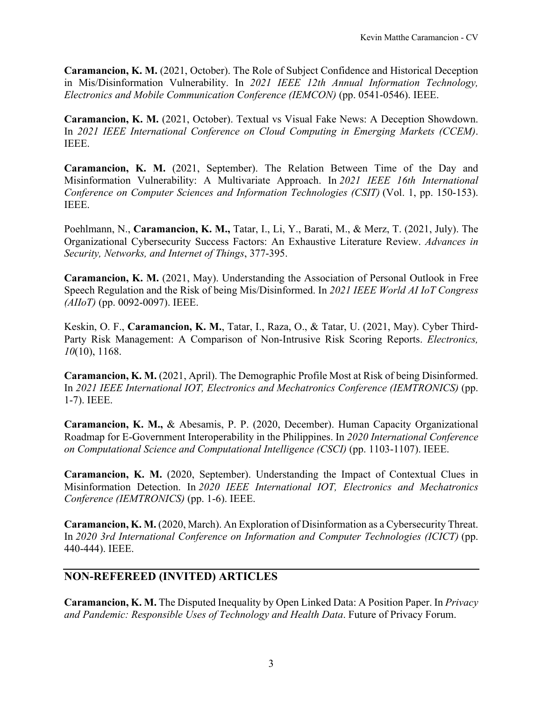**Caramancion, K. M.** (2021, October). The Role of Subject Confidence and Historical Deception in Mis/Disinformation Vulnerability. In *2021 IEEE 12th Annual Information Technology, Electronics and Mobile Communication Conference (IEMCON)* (pp. 0541-0546). IEEE.

**Caramancion, K. M.** (2021, October). Textual vs Visual Fake News: A Deception Showdown. In *2021 IEEE International Conference on Cloud Computing in Emerging Markets (CCEM)*. IEEE.

**Caramancion, K. M.** (2021, September). The Relation Between Time of the Day and Misinformation Vulnerability: A Multivariate Approach. In *2021 IEEE 16th International Conference on Computer Sciences and Information Technologies (CSIT)* (Vol. 1, pp. 150-153). IEEE.

Poehlmann, N., **Caramancion, K. M.,** Tatar, I., Li, Y., Barati, M., & Merz, T. (2021, July). The Organizational Cybersecurity Success Factors: An Exhaustive Literature Review. *Advances in Security, Networks, and Internet of Things*, 377-395.

**Caramancion, K. M.** (2021, May). Understanding the Association of Personal Outlook in Free Speech Regulation and the Risk of being Mis/Disinformed. In *2021 IEEE World AI IoT Congress (AIIoT)* (pp. 0092-0097). IEEE.

Keskin, O. F., **Caramancion, K. M.**, Tatar, I., Raza, O., & Tatar, U. (2021, May). Cyber Third-Party Risk Management: A Comparison of Non-Intrusive Risk Scoring Reports. *Electronics, 10*(10), 1168.

**Caramancion, K. M.** (2021, April). The Demographic Profile Most at Risk of being Disinformed. In *2021 IEEE International IOT, Electronics and Mechatronics Conference (IEMTRONICS)* (pp. 1-7). IEEE.

**Caramancion, K. M.,** & Abesamis, P. P. (2020, December). Human Capacity Organizational Roadmap for E-Government Interoperability in the Philippines. In *2020 International Conference on Computational Science and Computational Intelligence (CSCI)* (pp. 1103-1107). IEEE.

**Caramancion, K. M.** (2020, September). Understanding the Impact of Contextual Clues in Misinformation Detection. In *2020 IEEE International IOT, Electronics and Mechatronics Conference (IEMTRONICS)* (pp. 1-6). IEEE.

**Caramancion, K. M.** (2020, March). An Exploration of Disinformation as a Cybersecurity Threat. In *2020 3rd International Conference on Information and Computer Technologies (ICICT)* (pp. 440-444). IEEE.

#### **NON-REFEREED (INVITED) ARTICLES**

**Caramancion, K. M.** The Disputed Inequality by Open Linked Data: A Position Paper. In *Privacy and Pandemic: Responsible Uses of Technology and Health Data*. Future of Privacy Forum.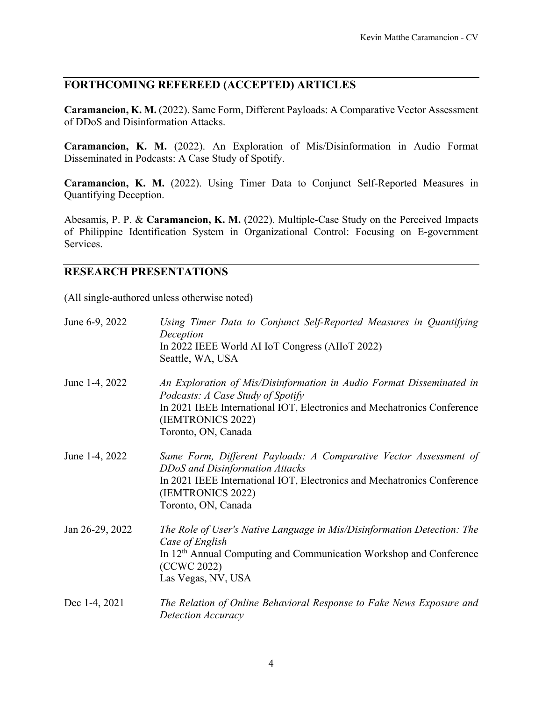### **FORTHCOMING REFEREED (ACCEPTED) ARTICLES**

**Caramancion, K. M.** (2022). Same Form, Different Payloads: A Comparative Vector Assessment of DDoS and Disinformation Attacks.

**Caramancion, K. M.** (2022). An Exploration of Mis/Disinformation in Audio Format Disseminated in Podcasts: A Case Study of Spotify.

**Caramancion, K. M.** (2022). Using Timer Data to Conjunct Self-Reported Measures in Quantifying Deception.

Abesamis, P. P. & **Caramancion, K. M.** (2022). Multiple-Case Study on the Perceived Impacts of Philippine Identification System in Organizational Control: Focusing on E-government Services.

#### **RESEARCH PRESENTATIONS**

(All single-authored unless otherwise noted)

| June 6-9, 2022  | Using Timer Data to Conjunct Self-Reported Measures in Quantifying<br>Deception<br>In 2022 IEEE World AI IoT Congress (AIIoT 2022)<br>Seattle, WA, USA                                                                           |
|-----------------|----------------------------------------------------------------------------------------------------------------------------------------------------------------------------------------------------------------------------------|
| June 1-4, 2022  | An Exploration of Mis/Disinformation in Audio Format Disseminated in<br>Podcasts: A Case Study of Spotify<br>In 2021 IEEE International IOT, Electronics and Mechatronics Conference<br>(IEMTRONICS 2022)<br>Toronto, ON, Canada |
| June 1-4, 2022  | Same Form, Different Payloads: A Comparative Vector Assessment of<br>DDoS and Disinformation Attacks<br>In 2021 IEEE International IOT, Electronics and Mechatronics Conference<br>(IEMTRONICS 2022)<br>Toronto, ON, Canada      |
| Jan 26-29, 2022 | The Role of User's Native Language in Mis/Disinformation Detection: The<br>Case of English<br>In 12 <sup>th</sup> Annual Computing and Communication Workshop and Conference<br>(CCWC 2022)<br>Las Vegas, NV, USA                |
| Dec 1-4, 2021   | The Relation of Online Behavioral Response to Fake News Exposure and<br>Detection Accuracy                                                                                                                                       |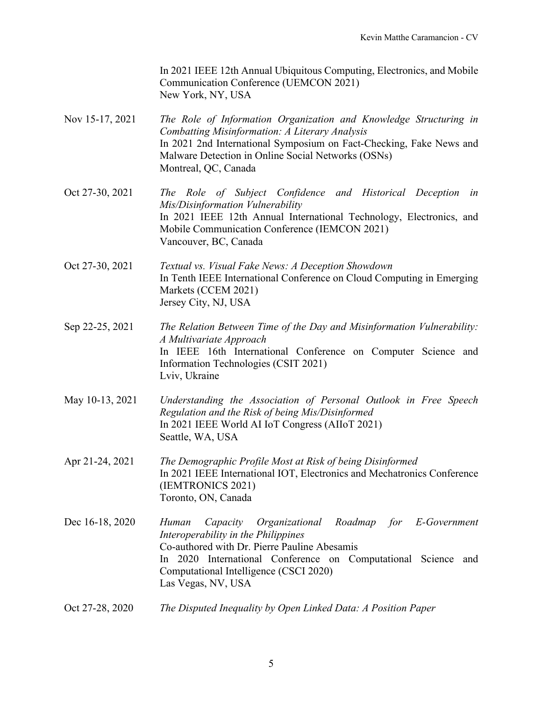In 2021 IEEE 12th Annual Ubiquitous Computing, Electronics, and Mobile Communication Conference (UEMCON 2021) New York, NY, USA

- Nov 15-17, 2021 *The Role of Information Organization and Knowledge Structuring in Combatting Misinformation: A Literary Analysis* In 2021 2nd International Symposium on Fact-Checking, Fake News and Malware Detection in Online Social Networks (OSNs) Montreal, QC, Canada
- Oct 27-30, 2021 *The Role of Subject Confidence and Historical Deception in Mis/Disinformation Vulnerability* In 2021 IEEE 12th Annual International Technology, Electronics, and Mobile Communication Conference (IEMCON 2021) Vancouver, BC, Canada
- Oct 27-30, 2021 *Textual vs. Visual Fake News: A Deception Showdown* In Tenth IEEE International Conference on Cloud Computing in Emerging Markets (CCEM 2021) Jersey City, NJ, USA
- Sep 22-25, 2021 *The Relation Between Time of the Day and Misinformation Vulnerability: A Multivariate Approach* In IEEE 16th International Conference on Computer Science and Information Technologies (CSIT 2021) Lviv, Ukraine
- May 10-13, 2021 *Understanding the Association of Personal Outlook in Free Speech Regulation and the Risk of being Mis/Disinformed* In 2021 IEEE World AI IoT Congress (AIIoT 2021) Seattle, WA, USA
- Apr 21-24, 2021 *The Demographic Profile Most at Risk of being Disinformed* In 2021 IEEE International IOT, Electronics and Mechatronics Conference (IEMTRONICS 2021) Toronto, ON, Canada
- Dec 16-18, 2020 *Human Capacity Organizational Roadmap for E-Government Interoperability in the Philippines* Co-authored with Dr. Pierre Pauline Abesamis In 2020 International Conference on Computational Science and Computational Intelligence (CSCI 2020) Las Vegas, NV, USA
- Oct 27-28, 2020 *The Disputed Inequality by Open Linked Data: A Position Paper*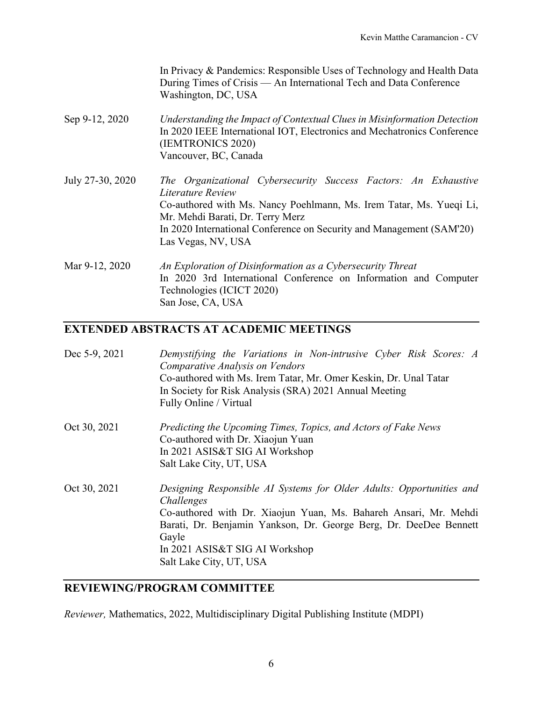In Privacy & Pandemics: Responsible Uses of Technology and Health Data During Times of Crisis — An International Tech and Data Conference Washington, DC, USA

Sep 9-12, 2020 *Understanding the Impact of Contextual Clues in Misinformation Detection* In 2020 IEEE International IOT, Electronics and Mechatronics Conference (IEMTRONICS 2020) Vancouver, BC, Canada

July 27-30, 2020 *The Organizational Cybersecurity Success Factors: An Exhaustive Literature Review* Co-authored with Ms. Nancy Poehlmann, Ms. Irem Tatar, Ms. Yueqi Li, Mr. Mehdi Barati, Dr. Terry Merz In 2020 International Conference on Security and Management (SAM'20) Las Vegas, NV, USA

Mar 9-12, 2020 *An Exploration of Disinformation as a Cybersecurity Threat* In 2020 3rd International Conference on Information and Computer Technologies (ICICT 2020) San Jose, CA, USA

#### **EXTENDED ABSTRACTS AT ACADEMIC MEETINGS**

| Dec 5-9, 2021 | Demystifying the Variations in Non-intrusive Cyber Risk Scores: A |
|---------------|-------------------------------------------------------------------|
|               | Comparative Analysis on Vendors                                   |
|               | Co-authored with Ms. Irem Tatar, Mr. Omer Keskin, Dr. Unal Tatar  |
|               | In Society for Risk Analysis (SRA) 2021 Annual Meeting            |
|               | Fully Online / Virtual                                            |
|               |                                                                   |

- Oct 30, 2021 *Predicting the Upcoming Times, Topics, and Actors of Fake News* Co-authored with Dr. Xiaojun Yuan In 2021 ASIS&T SIG AI Workshop Salt Lake City, UT, USA
- Oct 30, 2021 *Designing Responsible AI Systems for Older Adults: Opportunities and Challenges* Co-authored with Dr. Xiaojun Yuan, Ms. Bahareh Ansari, Mr. Mehdi Barati, Dr. Benjamin Yankson, Dr. George Berg, Dr. DeeDee Bennett Gayle In 2021 ASIS&T SIG AI Workshop Salt Lake City, UT, USA

#### **REVIEWING/PROGRAM COMMITTEE**

*Reviewer,* Mathematics, 2022, Multidisciplinary Digital Publishing Institute (MDPI)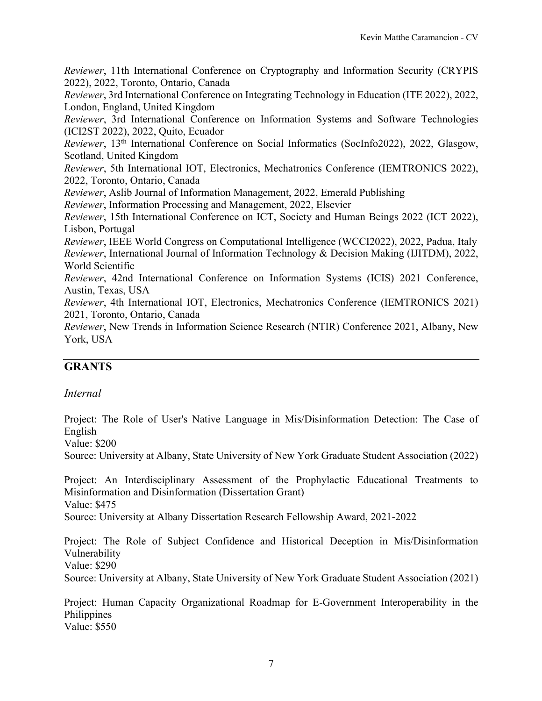*Reviewer*, 11th International Conference on Cryptography and Information Security (CRYPIS 2022), 2022, Toronto, Ontario, Canada

*Reviewer*, 3rd International Conference on Integrating Technology in Education (ITE 2022), 2022, London, England, United Kingdom

*Reviewer*, 3rd International Conference on Information Systems and Software Technologies (ICI2ST 2022), 2022, Quito, Ecuador

*Reviewer*, 13th International Conference on Social Informatics (SocInfo2022), 2022, Glasgow, Scotland, United Kingdom

*Reviewer*, 5th International IOT, Electronics, Mechatronics Conference (IEMTRONICS 2022), 2022, Toronto, Ontario, Canada

*Reviewer*, Aslib Journal of Information Management, 2022, Emerald Publishing

*Reviewer*, Information Processing and Management, 2022, Elsevier

*Reviewer*, 15th International Conference on ICT, Society and Human Beings 2022 (ICT 2022), Lisbon, Portugal

*Reviewer*, IEEE World Congress on Computational Intelligence (WCCI2022), 2022, Padua, Italy *Reviewer*, International Journal of Information Technology & Decision Making (IJITDM), 2022, World Scientific

*Reviewer*, 42nd International Conference on Information Systems (ICIS) 2021 Conference, Austin, Texas, USA

*Reviewer*, 4th International IOT, Electronics, Mechatronics Conference (IEMTRONICS 2021) 2021, Toronto, Ontario, Canada

*Reviewer*, New Trends in Information Science Research (NTIR) Conference 2021, Albany, New York, USA

### **GRANTS**

#### *Internal*

Project: The Role of User's Native Language in Mis/Disinformation Detection: The Case of English

Value: \$200

Source: University at Albany, State University of New York Graduate Student Association (2022)

Project: An Interdisciplinary Assessment of the Prophylactic Educational Treatments to Misinformation and Disinformation (Dissertation Grant) Value: \$475

Source: University at Albany Dissertation Research Fellowship Award, 2021-2022

Project: The Role of Subject Confidence and Historical Deception in Mis/Disinformation Vulnerability

Value: \$290

Source: University at Albany, State University of New York Graduate Student Association (2021)

Project: Human Capacity Organizational Roadmap for E-Government Interoperability in the **Philippines** Value: \$550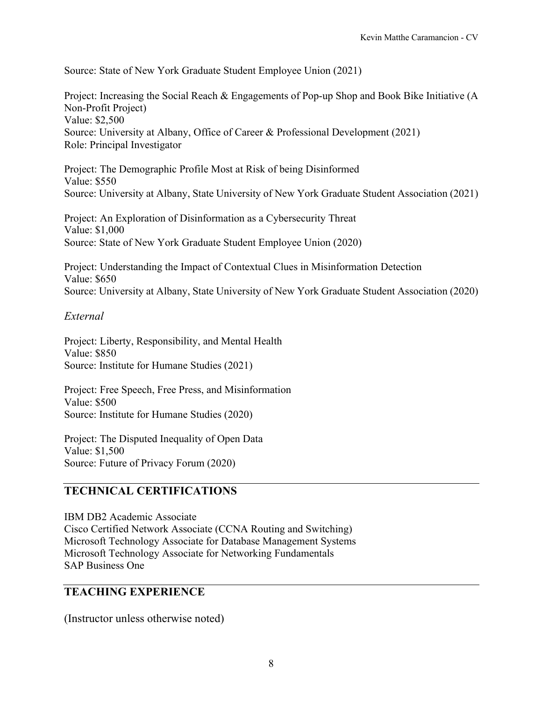Source: State of New York Graduate Student Employee Union (2021)

Project: Increasing the Social Reach & Engagements of Pop-up Shop and Book Bike Initiative (A Non-Profit Project) Value: \$2,500 Source: University at Albany, Office of Career & Professional Development (2021) Role: Principal Investigator

Project: The Demographic Profile Most at Risk of being Disinformed Value: \$550 Source: University at Albany, State University of New York Graduate Student Association (2021)

Project: An Exploration of Disinformation as a Cybersecurity Threat Value: \$1,000 Source: State of New York Graduate Student Employee Union (2020)

Project: Understanding the Impact of Contextual Clues in Misinformation Detection Value: \$650 Source: University at Albany, State University of New York Graduate Student Association (2020)

#### *External*

Project: Liberty, Responsibility, and Mental Health Value: \$850 Source: Institute for Humane Studies (2021)

Project: Free Speech, Free Press, and Misinformation Value: \$500 Source: Institute for Humane Studies (2020)

Project: The Disputed Inequality of Open Data Value: \$1,500 Source: Future of Privacy Forum (2020)

# **TECHNICAL CERTIFICATIONS**

IBM DB2 Academic Associate Cisco Certified Network Associate (CCNA Routing and Switching) Microsoft Technology Associate for Database Management Systems Microsoft Technology Associate for Networking Fundamentals SAP Business One

### **TEACHING EXPERIENCE**

(Instructor unless otherwise noted)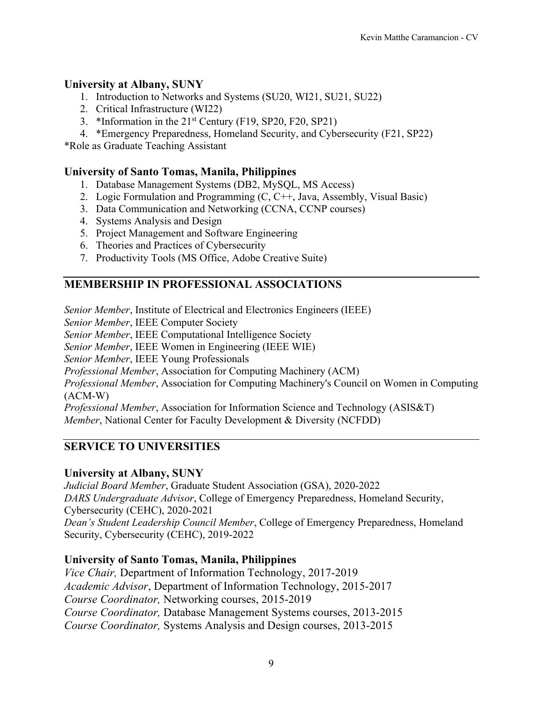### **University at Albany, SUNY**

- 1. Introduction to Networks and Systems (SU20, WI21, SU21, SU22)
- 2. Critical Infrastructure (WI22)
- 3. \*Information in the 21st Century (F19, SP20, F20, SP21)
- 4. \*Emergency Preparedness, Homeland Security, and Cybersecurity (F21, SP22)

\*Role as Graduate Teaching Assistant

#### **University of Santo Tomas, Manila, Philippines**

- 1. Database Management Systems (DB2, MySQL, MS Access)
- 2. Logic Formulation and Programming (C, C++, Java, Assembly, Visual Basic)
- 3. Data Communication and Networking (CCNA, CCNP courses)
- 4. Systems Analysis and Design
- 5. Project Management and Software Engineering
- 6. Theories and Practices of Cybersecurity
- 7. Productivity Tools (MS Office, Adobe Creative Suite)

### **MEMBERSHIP IN PROFESSIONAL ASSOCIATIONS**

*Senior Member*, Institute of Electrical and Electronics Engineers (IEEE) *Senior Member*, IEEE Computer Society *Senior Member*, IEEE Computational Intelligence Society *Senior Member*, IEEE Women in Engineering (IEEE WIE) *Senior Member*, IEEE Young Professionals *Professional Member*, Association for Computing Machinery (ACM) *Professional Member*, Association for Computing Machinery's Council on Women in Computing (ACM-W)

*Professional Member*, Association for Information Science and Technology (ASIS&T) *Member*, National Center for Faculty Development & Diversity (NCFDD)

### **SERVICE TO UNIVERSITIES**

### **University at Albany, SUNY**

*Judicial Board Member*, Graduate Student Association (GSA), 2020-2022 *DARS Undergraduate Advisor*, College of Emergency Preparedness, Homeland Security, Cybersecurity (CEHC), 2020-2021 *Dean's Student Leadership Council Member*, College of Emergency Preparedness, Homeland Security, Cybersecurity (CEHC), 2019-2022

### **University of Santo Tomas, Manila, Philippines**

*Vice Chair,* Department of Information Technology, 2017-2019 *Academic Advisor*, Department of Information Technology, 2015-2017 *Course Coordinator,* Networking courses, 2015-2019 *Course Coordinator,* Database Management Systems courses, 2013-2015 *Course Coordinator,* Systems Analysis and Design courses, 2013-2015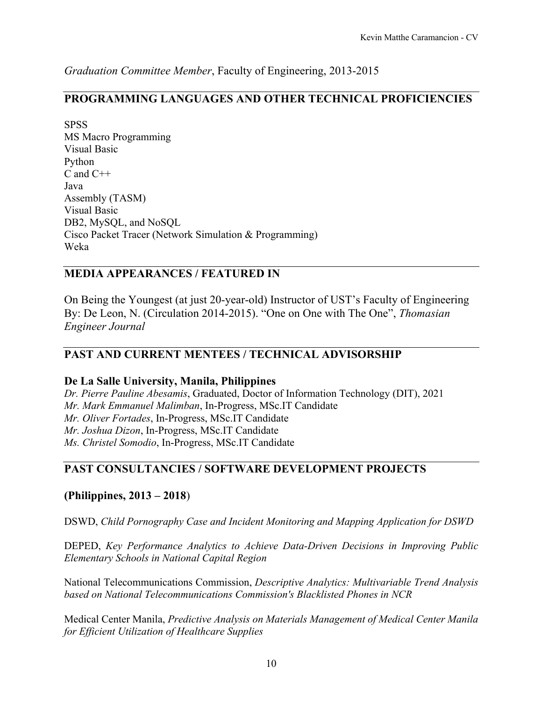*Graduation Committee Member*, Faculty of Engineering, 2013-2015

### **PROGRAMMING LANGUAGES AND OTHER TECHNICAL PROFICIENCIES**

**SPSS** MS Macro Programming Visual Basic Python C and C++ Java Assembly (TASM) Visual Basic DB2, MySQL, and NoSQL Cisco Packet Tracer (Network Simulation & Programming) Weka

#### **MEDIA APPEARANCES / FEATURED IN**

On Being the Youngest (at just 20-year-old) Instructor of UST's Faculty of Engineering By: De Leon, N. (Circulation 2014-2015). "One on One with The One", *Thomasian Engineer Journal*

### **PAST AND CURRENT MENTEES / TECHNICAL ADVISORSHIP**

#### **De La Salle University, Manila, Philippines**

*Dr. Pierre Pauline Abesamis*, Graduated, Doctor of Information Technology (DIT), 2021 *Mr. Mark Emmanuel Malimban*, In-Progress, MSc.IT Candidate *Mr. Oliver Fortades*, In-Progress, MSc.IT Candidate *Mr. Joshua Dizon*, In-Progress, MSc.IT Candidate *Ms. Christel Somodio*, In-Progress, MSc.IT Candidate

### **PAST CONSULTANCIES / SOFTWARE DEVELOPMENT PROJECTS**

#### **(Philippines, 2013 – 2018**)

DSWD, *Child Pornography Case and Incident Monitoring and Mapping Application for DSWD*

DEPED, *Key Performance Analytics to Achieve Data-Driven Decisions in Improving Public Elementary Schools in National Capital Region*

National Telecommunications Commission, *Descriptive Analytics: Multivariable Trend Analysis based on National Telecommunications Commission's Blacklisted Phones in NCR*

Medical Center Manila, *Predictive Analysis on Materials Management of Medical Center Manila for Efficient Utilization of Healthcare Supplies*